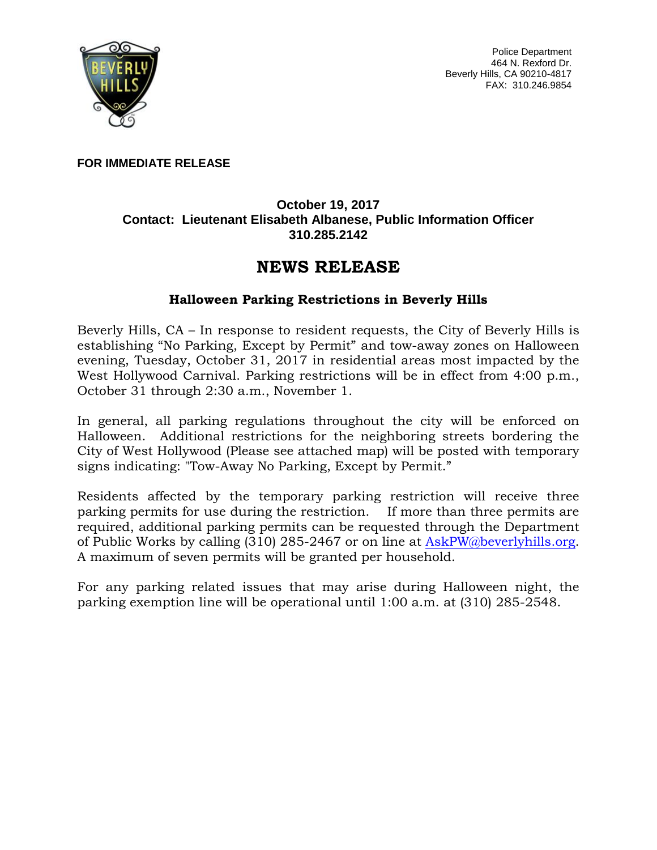

Police Department 464 N. Rexford Dr. Beverly Hills, CA 90210-4817 FAX: 310.246.9854

**FOR IMMEDIATE RELEASE**

## **October 19, 2017 Contact: Lieutenant Elisabeth Albanese, Public Information Officer 310.285.2142**

## **NEWS RELEASE**

## **Halloween Parking Restrictions in Beverly Hills**

Beverly Hills, CA – In response to resident requests, the City of Beverly Hills is establishing "No Parking, Except by Permit" and tow-away zones on Halloween evening, Tuesday, October 31, 2017 in residential areas most impacted by the West Hollywood Carnival. Parking restrictions will be in effect from 4:00 p.m., October 31 through 2:30 a.m., November 1.

In general, all parking regulations throughout the city will be enforced on Halloween. Additional restrictions for the neighboring streets bordering the City of West Hollywood (Please see attached map) will be posted with temporary signs indicating: "Tow-Away No Parking, Except by Permit."

Residents affected by the temporary parking restriction will receive three parking permits for use during the restriction. If more than three permits are required, additional parking permits can be requested through the Department of Public Works by calling  $(310)$  285-2467 or on line at [AskPW@beverlyhills.org.](mailto:AskPW@beverlyhills.org) A maximum of seven permits will be granted per household.

For any parking related issues that may arise during Halloween night, the parking exemption line will be operational until 1:00 a.m. at (310) 285-2548.